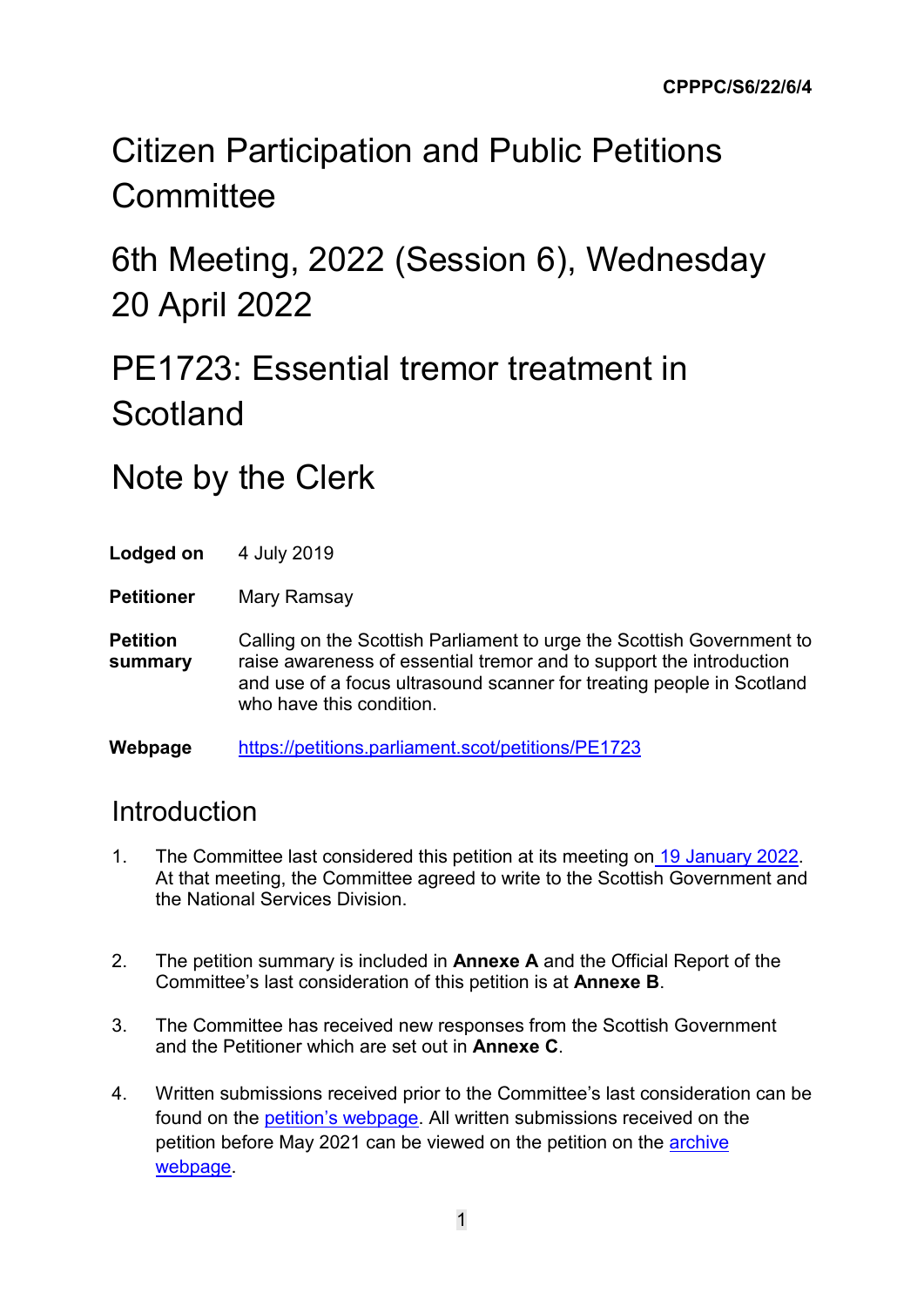# Citizen Participation and Public Petitions **Committee**

6th Meeting, 2022 (Session 6), Wednesday 20 April 2022

# PE1723: Essential tremor treatment in Scotland

### Note by the Clerk

Lodged on 4 July 2019

**Petitioner** Mary Ramsay

**Petition summary** Calling on the Scottish Parliament to urge the Scottish Government to raise awareness of essential tremor and to support the introduction and use of a focus ultrasound scanner for treating people in Scotland who have this condition.

**Webpage** <https://petitions.parliament.scot/petitions/PE1723>

#### Introduction

- 1. The Committee last considered this petition at its meeting on [19 January](https://www.parliament.scot/chamber-and-committees/debates-and-questions/s6/citizen-participation-and-public-petitions/19-january-2022-13539) 2022. At that meeting, the Committee agreed to write to the Scottish Government and the National Services Division.
- 2. The petition summary is included in **Annexe A** and the Official Report of the Committee's last consideration of this petition is at **Annexe B**.
- 3. The Committee has received new responses from the Scottish Government and the Petitioner which are set out in **Annexe C**.
- 4. Written submissions received prior to the Committee's last consideration can be found on the [petition's webpage.](https://www.parliament.scot/get-involved/petitions/view-petitions/pe1723-essential-tremor-treatment-in-scotland) All written submissions received on the petition before May 2021 can be viewed on the petition on the [archive](https://archive2021.parliament.scot/GettingInvolved/Petitions/focusultrasound)  [webpage.](https://archive2021.parliament.scot/GettingInvolved/Petitions/focusultrasound)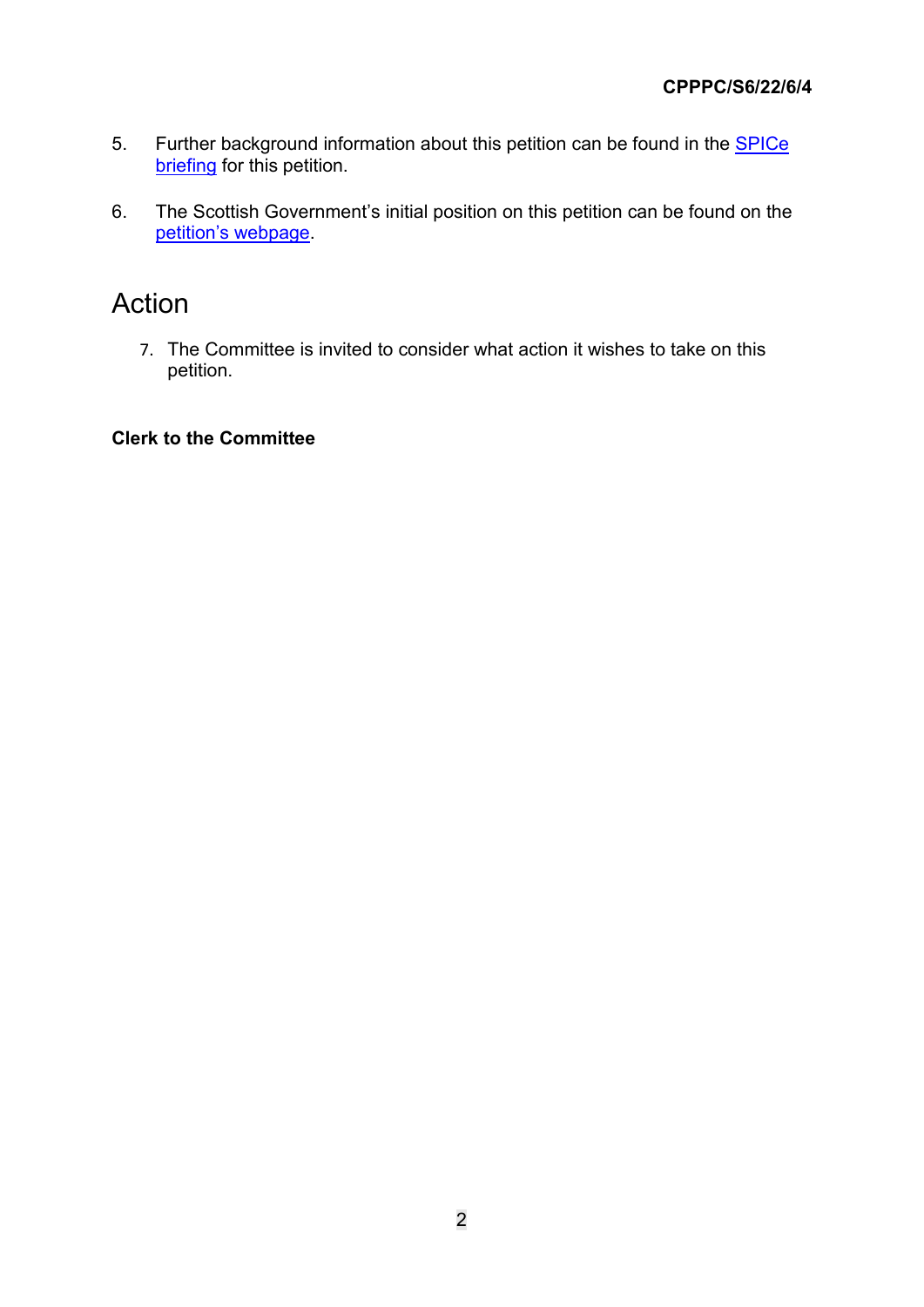- 5. Further background information about this petition can be found in the **SPICe** [briefing](https://www.parliament.scot/-/media/files/committees/citizen-participation-and-public-petitions-committee/spice-briefing-for-petition-pe1723.pdf) for this petition.
- 6. The Scottish Government's initial position on this petition can be found on the [petition's webpage.](https://archive2021.parliament.scot/S5_PublicPetitionsCommittee/Submissions%202019/PE1723_C.pdf)

#### Action

7. The Committee is invited to consider what action it wishes to take on this petition.

#### **Clerk to the Committee**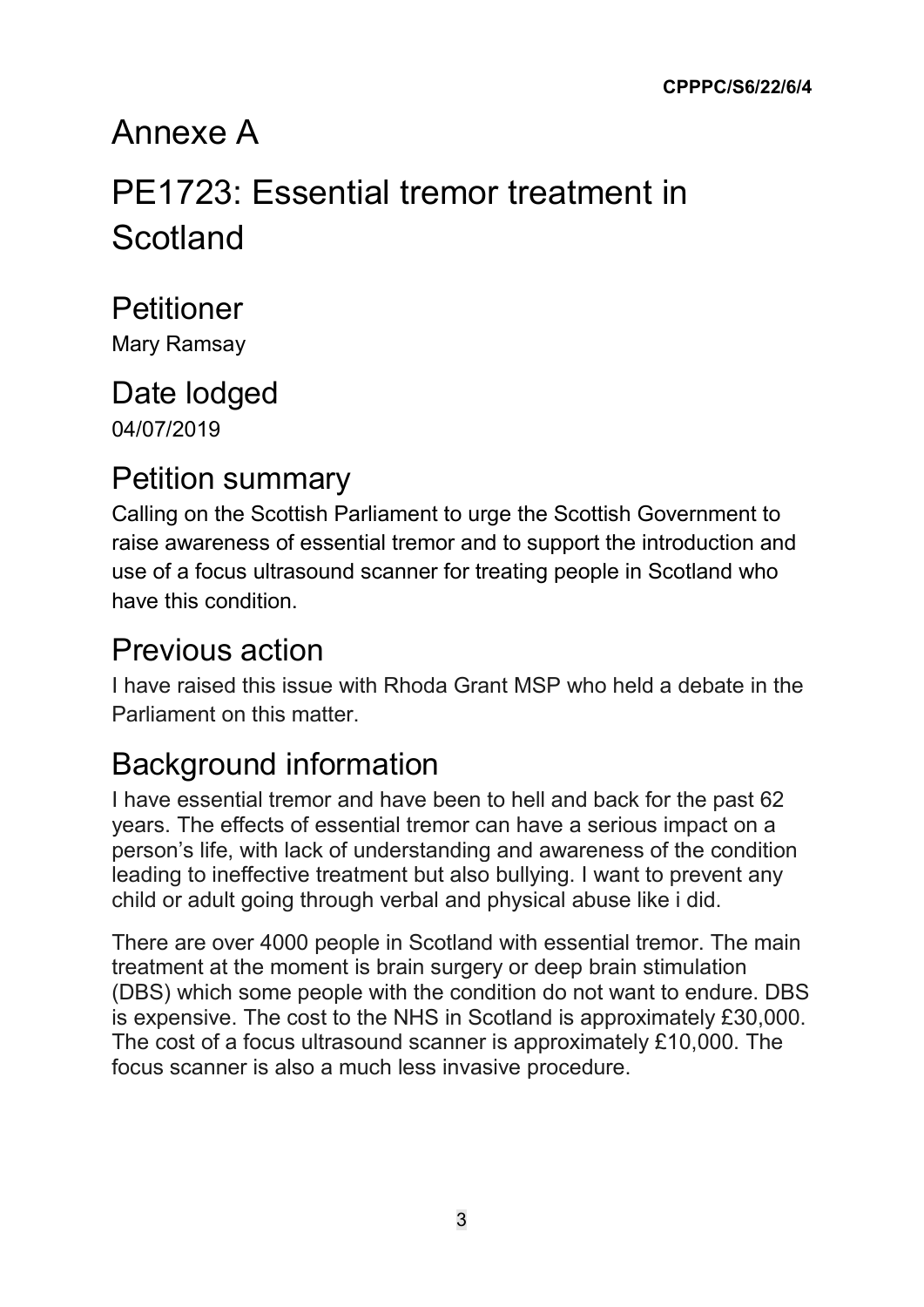# Annexe A

# PE1723: Essential tremor treatment in **Scotland**

### Petitioner

Mary Ramsay

#### Date lodged 04/07/2019

### Petition summary

Calling on the Scottish Parliament to urge the Scottish Government to raise awareness of essential tremor and to support the introduction and use of a focus ultrasound scanner for treating people in Scotland who have this condition.

### Previous action

I have raised this issue with Rhoda Grant MSP who held a debate in the Parliament on this matter.

### Background information

I have essential tremor and have been to hell and back for the past 62 years. The effects of essential tremor can have a serious impact on a person's life, with lack of understanding and awareness of the condition leading to ineffective treatment but also bullying. I want to prevent any child or adult going through verbal and physical abuse like i did.

There are over 4000 people in Scotland with essential tremor. The main treatment at the moment is brain surgery or deep brain stimulation (DBS) which some people with the condition do not want to endure. DBS is expensive. The cost to the NHS in Scotland is approximately £30,000. The cost of a focus ultrasound scanner is approximately £10,000. The focus scanner is also a much less invasive procedure.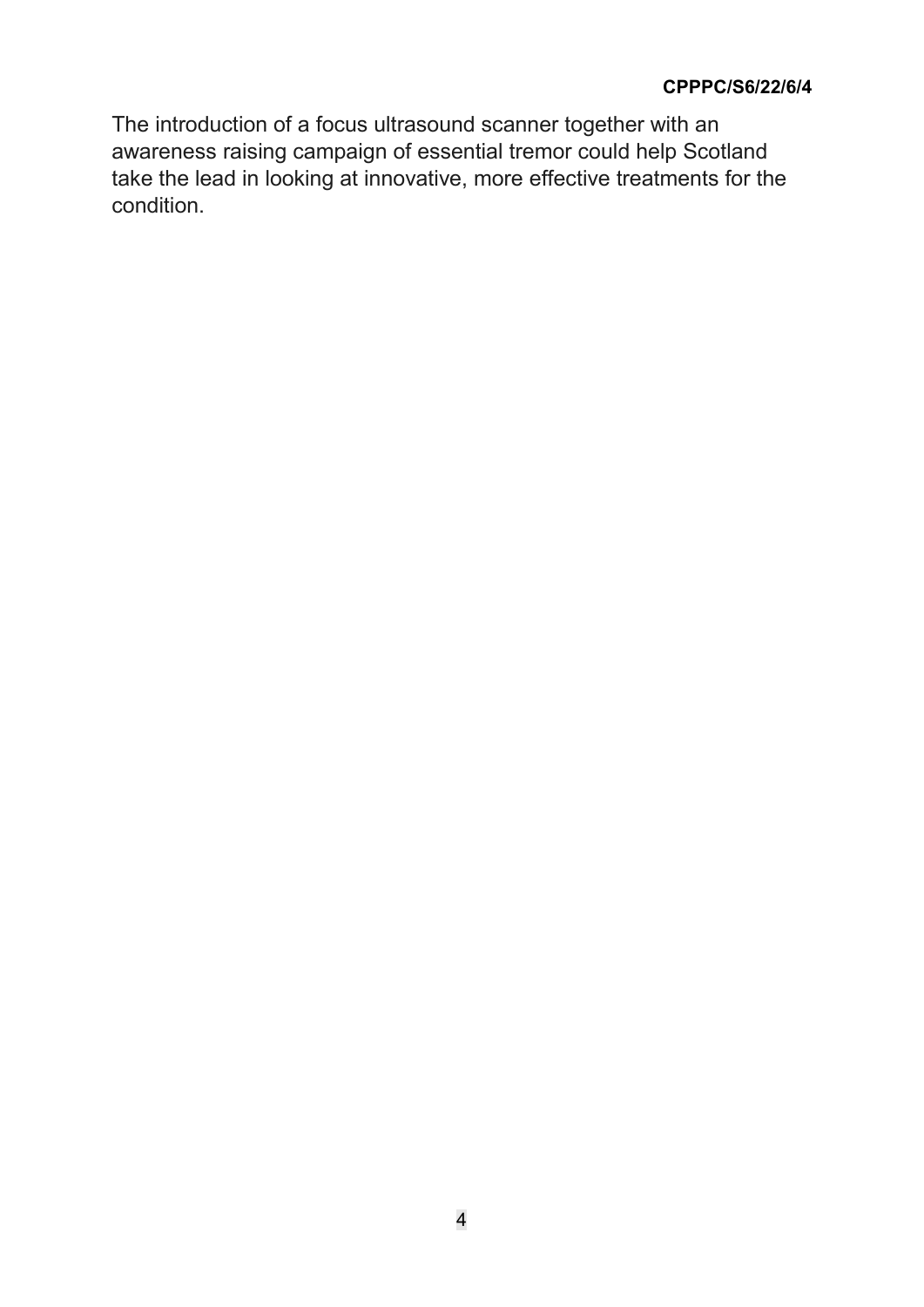The introduction of a focus ultrasound scanner together with an awareness raising campaign of essential tremor could help Scotland take the lead in looking at innovative, more effective treatments for the condition.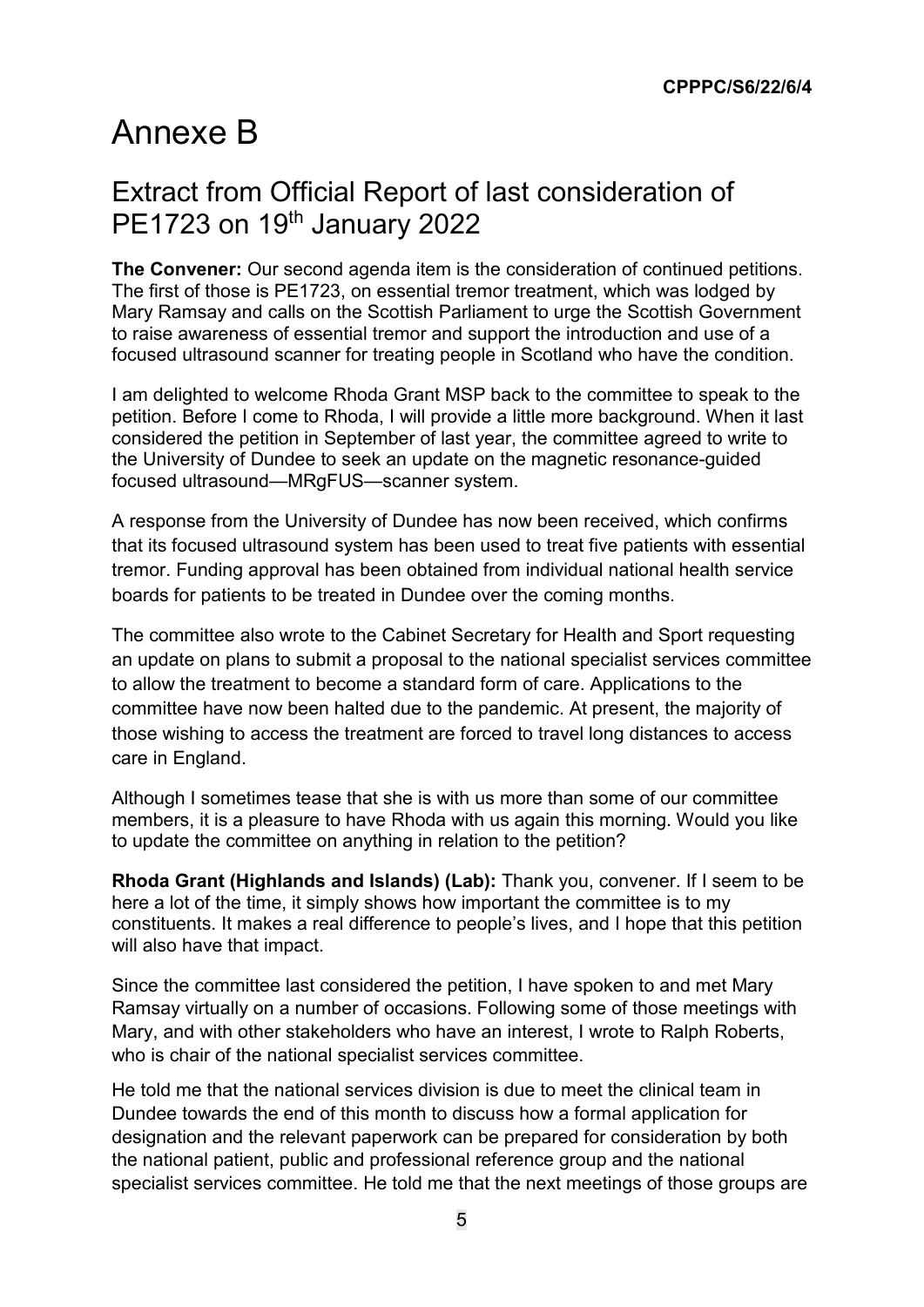### Annexe B

#### Extract from Official Report of last consideration of PE1723 on 19th January 2022

**The Convener:** Our second agenda item is the consideration of continued petitions. The first of those is PE1723, on essential tremor treatment, which was lodged by Mary Ramsay and calls on the Scottish Parliament to urge the Scottish Government to raise awareness of essential tremor and support the introduction and use of a focused ultrasound scanner for treating people in Scotland who have the condition.

I am delighted to welcome Rhoda Grant MSP back to the committee to speak to the petition. Before I come to Rhoda, I will provide a little more background. When it last considered the petition in September of last year, the committee agreed to write to the University of Dundee to seek an update on the magnetic resonance-guided focused ultrasound—MRgFUS—scanner system.

A response from the University of Dundee has now been received, which confirms that its focused ultrasound system has been used to treat five patients with essential tremor. Funding approval has been obtained from individual national health service boards for patients to be treated in Dundee over the coming months.

The committee also wrote to the Cabinet Secretary for Health and Sport requesting an update on plans to submit a proposal to the national specialist services committee to allow the treatment to become a standard form of care. Applications to the committee have now been halted due to the pandemic. At present, the majority of those wishing to access the treatment are forced to travel long distances to access care in England.

Although I sometimes tease that she is with us more than some of our committee members, it is a pleasure to have Rhoda with us again this morning. Would you like to update the committee on anything in relation to the petition?

**Rhoda Grant (Highlands and Islands) (Lab):** Thank you, convener. If I seem to be here a lot of the time, it simply shows how important the committee is to my constituents. It makes a real difference to people's lives, and I hope that this petition will also have that impact.

Since the committee last considered the petition, I have spoken to and met Mary Ramsay virtually on a number of occasions. Following some of those meetings with Mary, and with other stakeholders who have an interest, I wrote to Ralph Roberts, who is chair of the national specialist services committee.

He told me that the national services division is due to meet the clinical team in Dundee towards the end of this month to discuss how a formal application for designation and the relevant paperwork can be prepared for consideration by both the national patient, public and professional reference group and the national specialist services committee. He told me that the next meetings of those groups are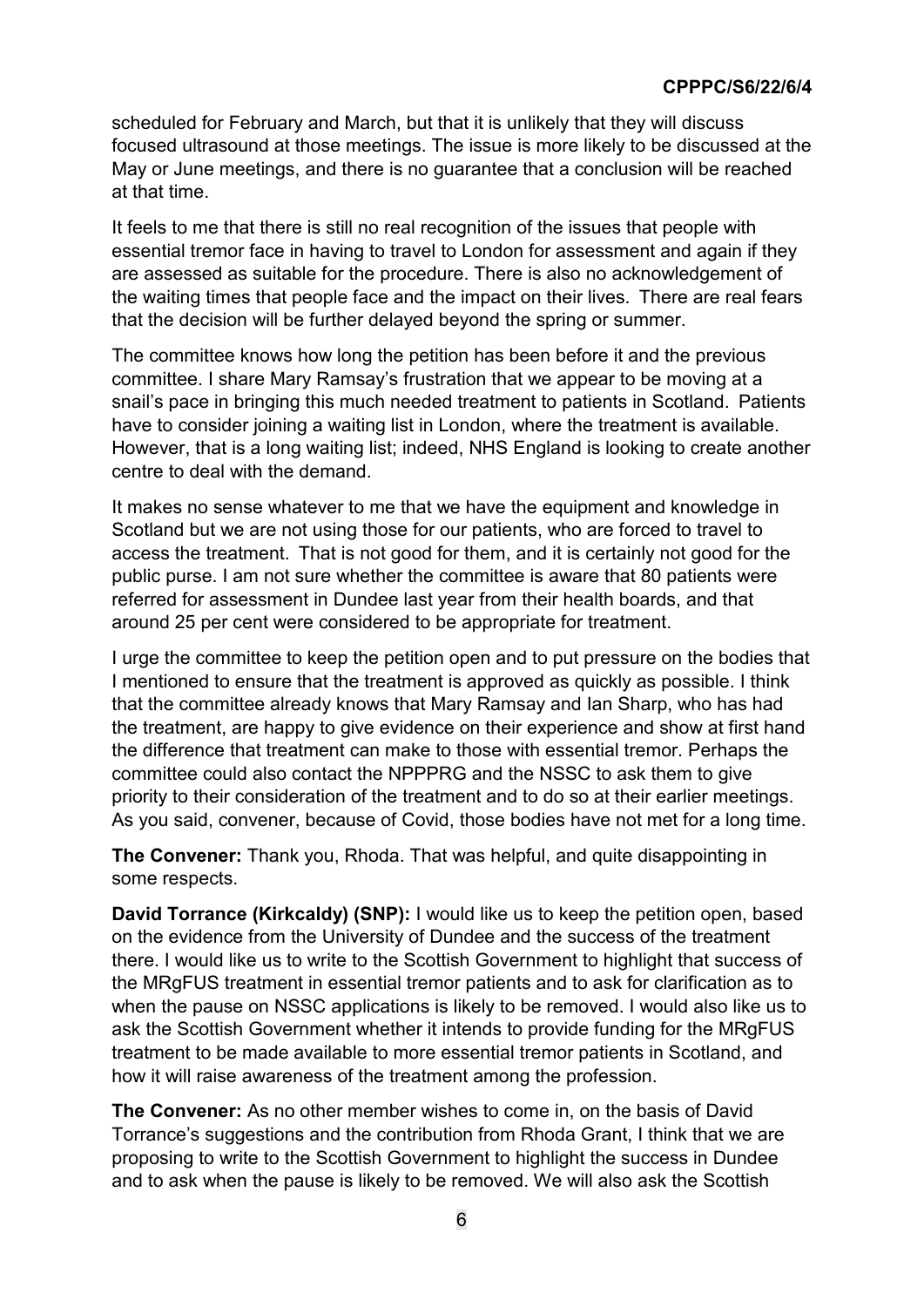scheduled for February and March, but that it is unlikely that they will discuss focused ultrasound at those meetings. The issue is more likely to be discussed at the May or June meetings, and there is no guarantee that a conclusion will be reached at that time.

It feels to me that there is still no real recognition of the issues that people with essential tremor face in having to travel to London for assessment and again if they are assessed as suitable for the procedure. There is also no acknowledgement of the waiting times that people face and the impact on their lives.  There are real fears that the decision will be further delayed beyond the spring or summer.

The committee knows how long the petition has been before it and the previous committee. I share Mary Ramsay's frustration that we appear to be moving at a snail's pace in bringing this much needed treatment to patients in Scotland.  Patients have to consider joining a waiting list in London, where the treatment is available. However, that is a long waiting list; indeed, NHS England is looking to create another centre to deal with the demand.

It makes no sense whatever to me that we have the equipment and knowledge in Scotland but we are not using those for our patients, who are forced to travel to access the treatment.  That is not good for them, and it is certainly not good for the public purse. I am not sure whether the committee is aware that 80 patients were referred for assessment in Dundee last year from their health boards, and that around 25 per cent were considered to be appropriate for treatment.

I urge the committee to keep the petition open and to put pressure on the bodies that I mentioned to ensure that the treatment is approved as quickly as possible. I think that the committee already knows that Mary Ramsay and Ian Sharp, who has had the treatment, are happy to give evidence on their experience and show at first hand the difference that treatment can make to those with essential tremor. Perhaps the committee could also contact the NPPPRG and the NSSC to ask them to give priority to their consideration of the treatment and to do so at their earlier meetings. As you said, convener, because of Covid, those bodies have not met for a long time.

**The Convener:** Thank you, Rhoda. That was helpful, and quite disappointing in some respects.

**David Torrance (Kirkcaldy) (SNP):** I would like us to keep the petition open, based on the evidence from the University of Dundee and the success of the treatment there. I would like us to write to the Scottish Government to highlight that success of the MRgFUS treatment in essential tremor patients and to ask for clarification as to when the pause on NSSC applications is likely to be removed. I would also like us to ask the Scottish Government whether it intends to provide funding for the MRgFUS treatment to be made available to more essential tremor patients in Scotland, and how it will raise awareness of the treatment among the profession.

**The Convener:** As no other member wishes to come in, on the basis of David Torrance's suggestions and the contribution from Rhoda Grant, I think that we are proposing to write to the Scottish Government to highlight the success in Dundee and to ask when the pause is likely to be removed. We will also ask the Scottish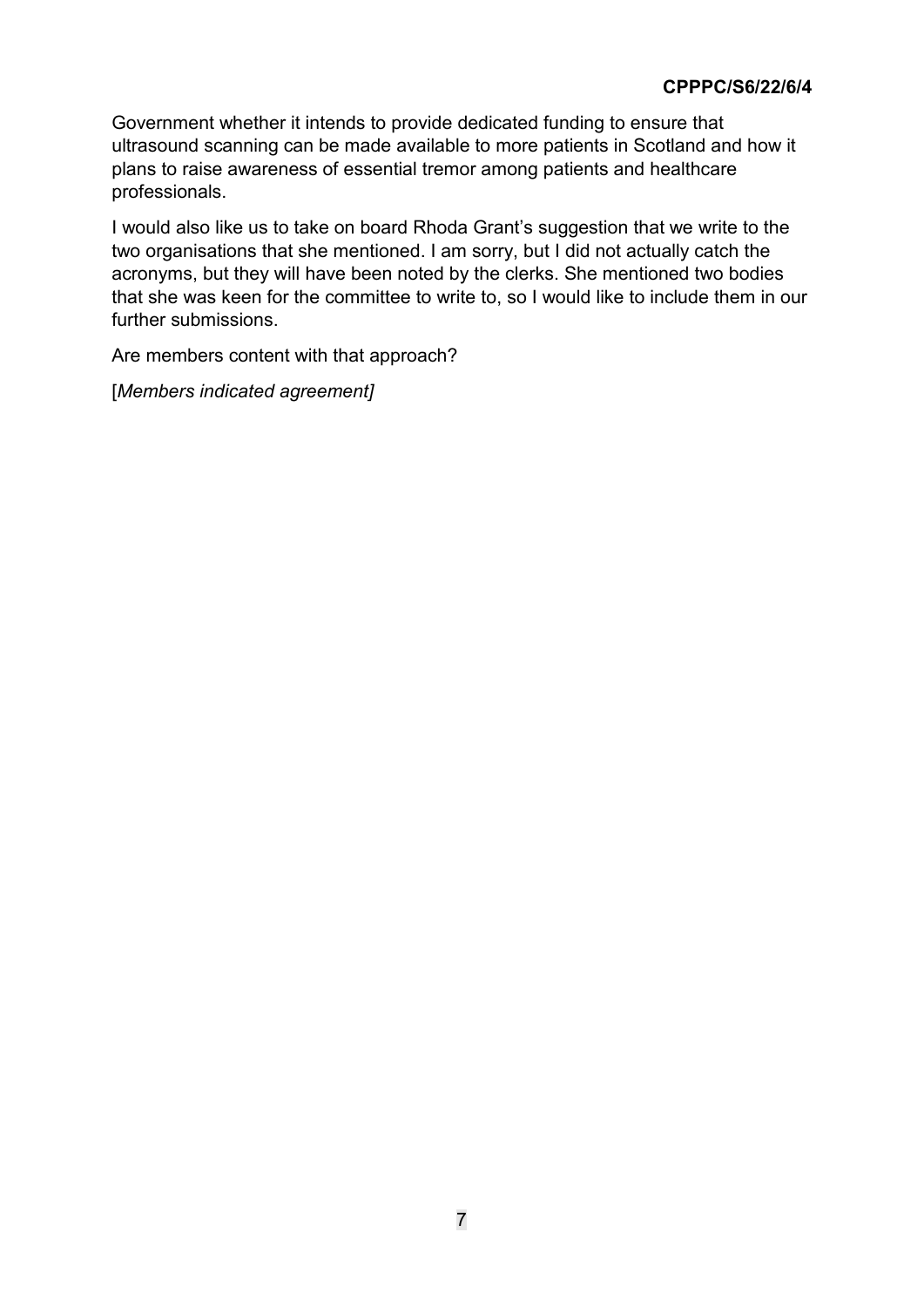Government whether it intends to provide dedicated funding to ensure that ultrasound scanning can be made available to more patients in Scotland and how it plans to raise awareness of essential tremor among patients and healthcare professionals.

I would also like us to take on board Rhoda Grant's suggestion that we write to the two organisations that she mentioned. I am sorry, but I did not actually catch the acronyms, but they will have been noted by the clerks. She mentioned two bodies that she was keen for the committee to write to, so I would like to include them in our further submissions.

Are members content with that approach?

[*Members indicated agreement]*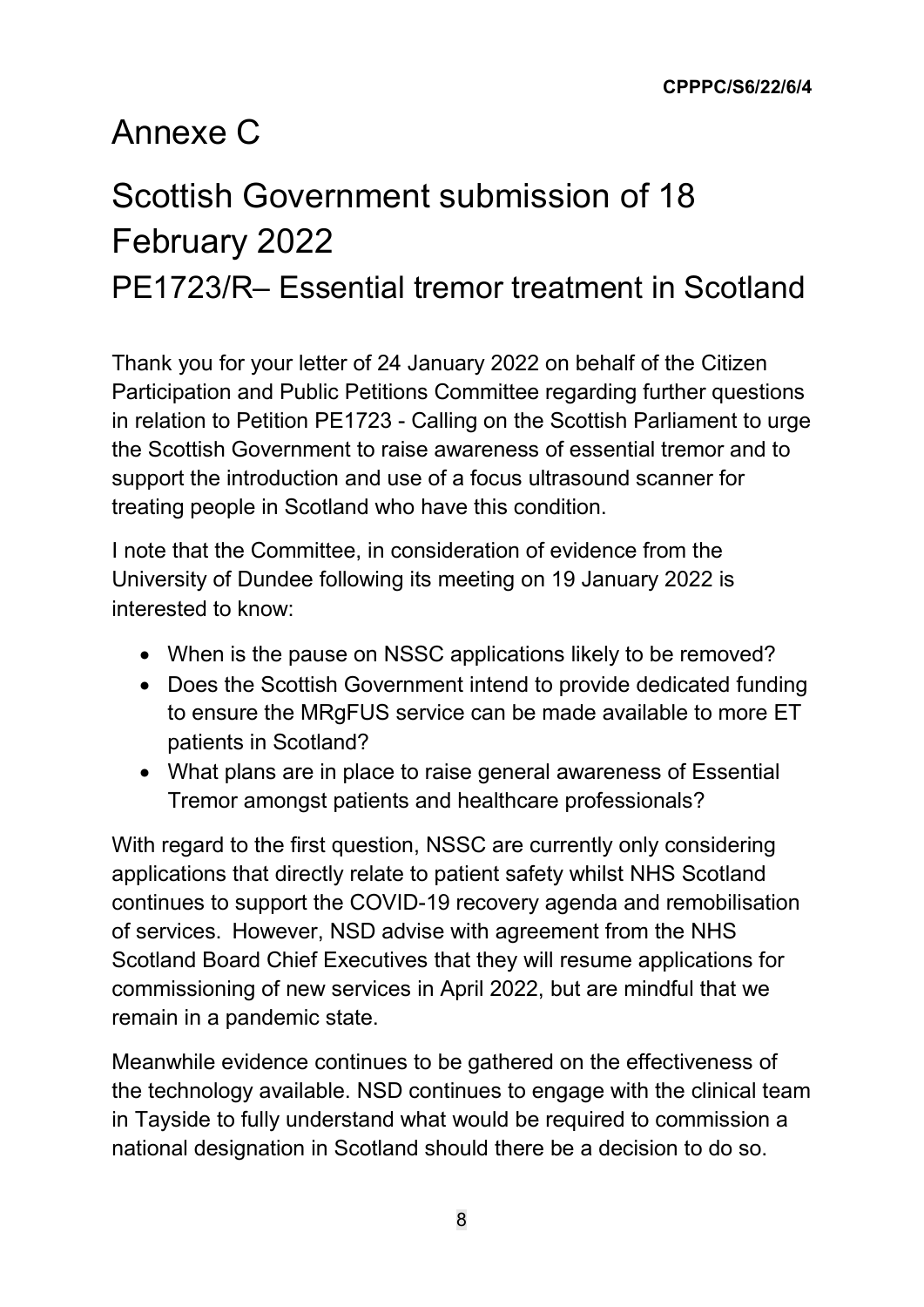### Annexe C

# Scottish Government submission of 18 February 2022

PE1723/R– Essential tremor treatment in Scotland

Thank you for your letter of 24 January 2022 on behalf of the Citizen Participation and Public Petitions Committee regarding further questions in relation to Petition PE1723 - Calling on the Scottish Parliament to urge the Scottish Government to raise awareness of essential tremor and to support the introduction and use of a focus ultrasound scanner for treating people in Scotland who have this condition.

I note that the Committee, in consideration of evidence from the University of Dundee following its meeting on 19 January 2022 is interested to know:

- When is the pause on NSSC applications likely to be removed?
- Does the Scottish Government intend to provide dedicated funding to ensure the MRgFUS service can be made available to more ET patients in Scotland?
- What plans are in place to raise general awareness of Essential Tremor amongst patients and healthcare professionals?

With regard to the first question, NSSC are currently only considering applications that directly relate to patient safety whilst NHS Scotland continues to support the COVID-19 recovery agenda and remobilisation of services.  However, NSD advise with agreement from the NHS Scotland Board Chief Executives that they will resume applications for commissioning of new services in April 2022, but are mindful that we remain in a pandemic state.

Meanwhile evidence continues to be gathered on the effectiveness of the technology available. NSD continues to engage with the clinical team in Tayside to fully understand what would be required to commission a national designation in Scotland should there be a decision to do so.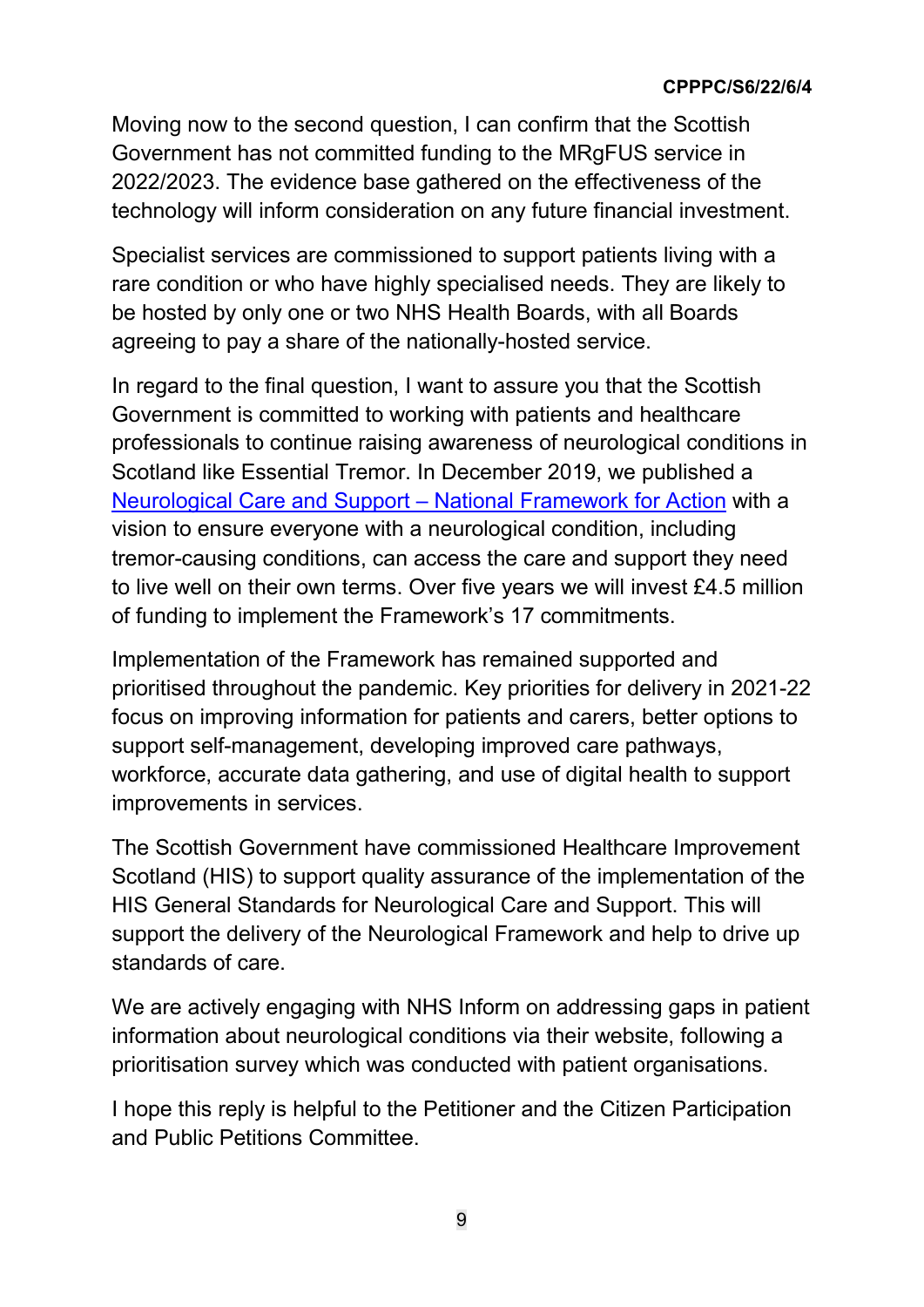#### **CPPPC/S6/22/6/4**

Moving now to the second question, I can confirm that the Scottish Government has not committed funding to the MRgFUS service in 2022/2023. The evidence base gathered on the effectiveness of the technology will inform consideration on any future financial investment.

Specialist services are commissioned to support patients living with a rare condition or who have highly specialised needs. They are likely to be hosted by only one or two NHS Health Boards, with all Boards agreeing to pay a share of the nationally-hosted service.

In regard to the final question, I want to assure you that the Scottish Government is committed to working with patients and healthcare professionals to continue raising awareness of neurological conditions in Scotland like Essential Tremor. In December 2019, we published a [Neurological Care and Support – National Framework for Action](https://www.gov.scot/publications/neurological-care-support-scotland-framework-action-2020-2025/documents/) with a vision to ensure everyone with a neurological condition, including tremor-causing conditions, can access the care and support they need to live well on their own terms. Over five years we will invest £4.5 million of funding to implement the Framework's 17 commitments.

Implementation of the Framework has remained supported and prioritised throughout the pandemic. Key priorities for delivery in 2021-22 focus on improving information for patients and carers, better options to support self-management, developing improved care pathways, workforce, accurate data gathering, and use of digital health to support improvements in services.

The Scottish Government have commissioned Healthcare Improvement Scotland (HIS) to support quality assurance of the implementation of the HIS General Standards for Neurological Care and Support. This will support the delivery of the Neurological Framework and help to drive up standards of care.

We are actively engaging with NHS Inform on addressing gaps in patient information about neurological conditions via their website, following a prioritisation survey which was conducted with patient organisations.

I hope this reply is helpful to the Petitioner and the Citizen Participation and Public Petitions Committee.